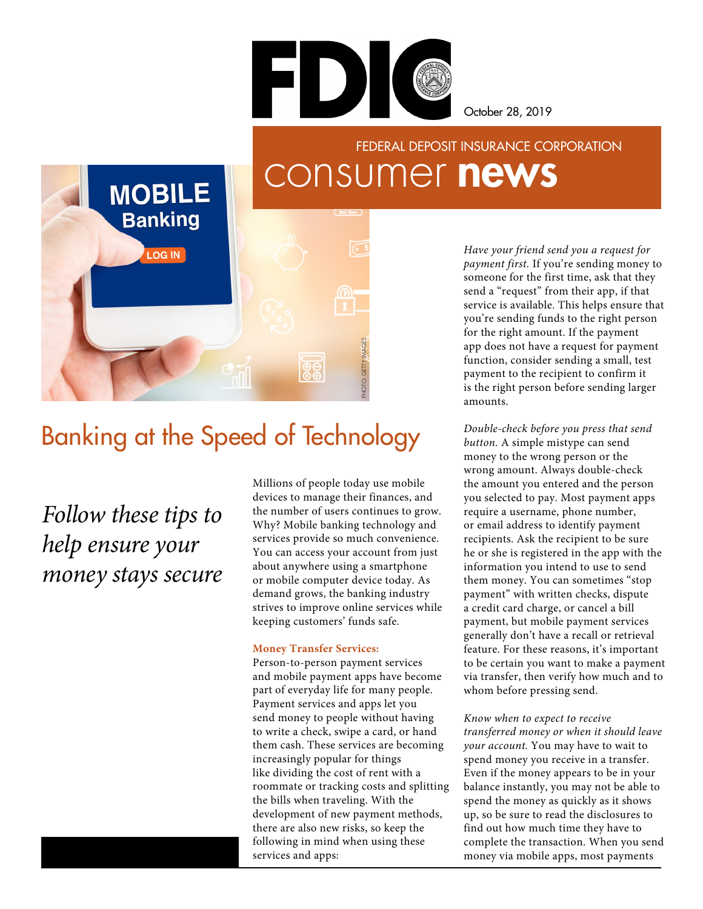

October 28, 2019

# consumer news FEDERAL DEPOSIT INSURANCE CORPORATION

# Banking at the Speed of Technology

*Follow these tips to help ensure your money stays secure*

**MOBILE** 

**Banking** 

**LOG IN** 

Millions of people today use mobile devices to manage their finances, and the number of users continues to grow. Why? Mobile banking technology and services provide so much convenience. You can access your account from just about anywhere using a smartphone or mobile computer device today. As demand grows, the banking industry strives to improve online services while keeping customers' funds safe.

PHOTO: GETTY IMAGES

HOTO: GETTY IMAGE

#### **Money Transfer Services:**

Person-to-person payment services and mobile payment apps have become part of everyday life for many people. Payment services and apps let you send money to people without having to write a check, swipe a card, or hand them cash. These services are becoming increasingly popular for things like dividing the cost of rent with a roommate or tracking costs and splitting the bills when traveling. With the development of new payment methods, there are also new risks, so keep the following in mind when using these services and apps:

*Have your friend send you a request for payment first.* If you're sending money to someone for the first time, ask that they send a "request" from their app, if that service is available. This helps ensure that you're sending funds to the right person for the right amount. If the payment app does not have a request for payment function, consider sending a small, test payment to the recipient to confirm it is the right person before sending larger amounts.

*Double-check before you press that send button.* A simple mistype can send money to the wrong person or the wrong amount. Always double-check the amount you entered and the person you selected to pay. Most payment apps require a username, phone number, or email address to identify payment recipients. Ask the recipient to be sure he or she is registered in the app with the information you intend to use to send them money. You can sometimes "stop payment" with written checks, dispute a credit card charge, or cancel a bill payment, but mobile payment services generally don't have a recall or retrieval feature. For these reasons, it's important to be certain you want to make a payment via transfer, then verify how much and to whom before pressing send.

#### *Know when to expect to receive*

*transferred money or when it should leave your account.* You may have to wait to spend money you receive in a transfer. Even if the money appears to be in your balance instantly, you may not be able to spend the money as quickly as it shows up, so be sure to read the disclosures to find out how much time they have to complete the transaction. When you send money via mobile apps, most payments